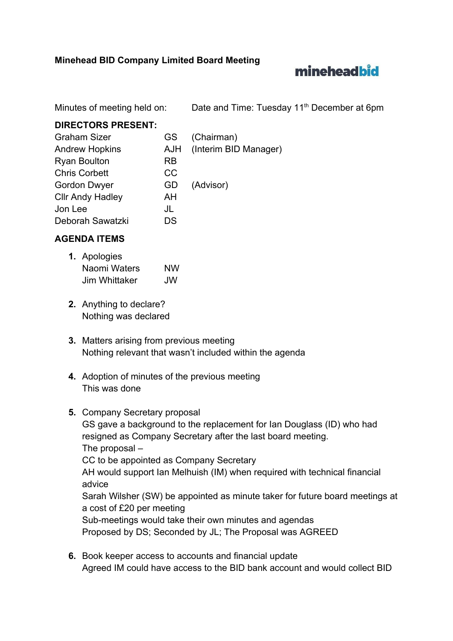## **Minehead BID Company Limited Board Meeting**

# mineheadbid

Minutes of meeting held on: Date and Time: Tuesday 11<sup>th</sup> December at 6pm

## **DIRECTORS PRESENT:**

| <b>Graham Sizer</b>     | <b>GS</b>  | (Chairman)            |
|-------------------------|------------|-----------------------|
| <b>Andrew Hopkins</b>   | <b>AJH</b> | (Interim BID Manager) |
| <b>Ryan Boulton</b>     | <b>RB</b>  |                       |
| <b>Chris Corbett</b>    | <b>CC</b>  |                       |
| <b>Gordon Dwyer</b>     | GD         | (Advisor)             |
| <b>Cllr Andy Hadley</b> | AH         |                       |
| Jon Lee                 | JL         |                       |
| Deborah Sawatzki        | DS         |                       |

# **AGENDA ITEMS**

- **1.** Apologies Naomi Waters NW Jim Whittaker JW
- **2.** Anything to declare? Nothing was declared
- **3.** Matters arising from previous meeting Nothing relevant that wasn't included within the agenda
- **4.** Adoption of minutes of the previous meeting This was done
- **5.** Company Secretary proposal GS gave a background to the replacement for Ian Douglass (ID) who had resigned as Company Secretary after the last board meeting. The proposal – CC to be appointed as Company Secretary AH would support Ian Melhuish (IM) when required with technical financial advice Sarah Wilsher (SW) be appointed as minute taker for future board meetings at a cost of £20 per meeting Sub-meetings would take their own minutes and agendas Proposed by DS; Seconded by JL; The Proposal was AGREED
- **6.** Book keeper access to accounts and financial update Agreed IM could have access to the BID bank account and would collect BID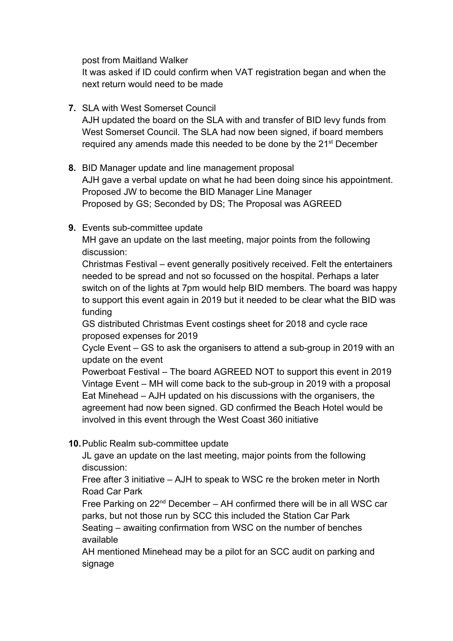post from Maitland Walker

It was asked if ID could confirm when VAT registration began and when the next return would need to be made

- **7.** SLA with West Somerset Council AJH updated the board on the SLA with and transfer of BID levy funds from West Somerset Council. The SLA had now been signed, if board members required any amends made this needed to be done by the 21<sup>st</sup> December
- **8.** BID Manager update and line management proposal AJH gave a verbal update on what he had been doing since his appointment. Proposed JW to become the BID Manager Line Manager Proposed by GS; Seconded by DS; The Proposal was AGREED
- **9.** Events sub-committee update

MH gave an update on the last meeting, major points from the following discussion:

Christmas Festival – event generally positively received. Felt the entertainers needed to be spread and not so focussed on the hospital. Perhaps a later switch on of the lights at 7pm would help BID members. The board was happy to support this event again in 2019 but it needed to be clear what the BID was funding

GS distributed Christmas Event costings sheet for 2018 and cycle race proposed expenses for 2019

Cycle Event – GS to ask the organisers to attend a sub-group in 2019 with an update on the event

Powerboat Festival – The board AGREED NOT to support this event in 2019 Vintage Event – MH will come back to the sub-group in 2019 with a proposal Eat Minehead – AJH updated on his discussions with the organisers, the agreement had now been signed. GD confirmed the Beach Hotel would be involved in this event through the West Coast 360 initiative

**10.**Public Realm sub-committee update

JL gave an update on the last meeting, major points from the following discussion:

Free after 3 initiative – AJH to speak to WSC re the broken meter in North Road Car Park

Free Parking on 22<sup>nd</sup> December - AH confirmed there will be in all WSC car parks, but not those run by SCC this included the Station Car Park Seating – awaiting confirmation from WSC on the number of benches

available

AH mentioned Minehead may be a pilot for an SCC audit on parking and signage